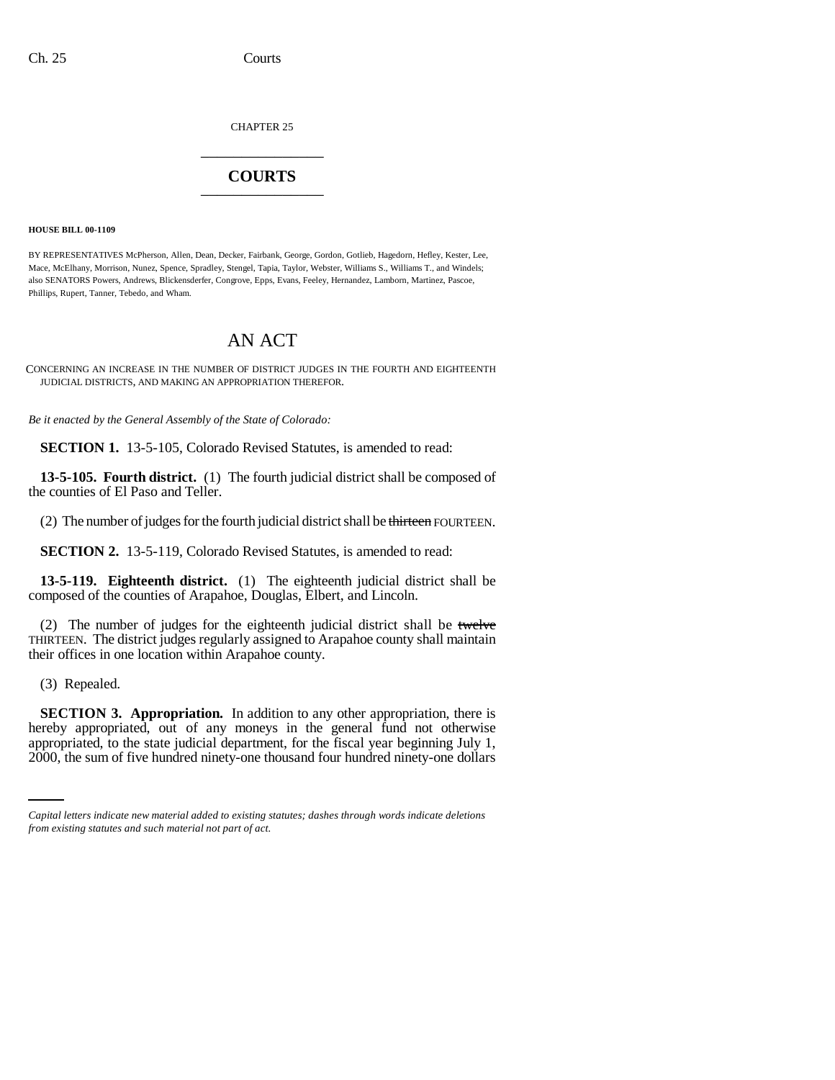CHAPTER 25 \_\_\_\_\_\_\_\_\_\_\_\_\_\_\_

## **COURTS** \_\_\_\_\_\_\_\_\_\_\_\_\_\_\_

**HOUSE BILL 00-1109** 

BY REPRESENTATIVES McPherson, Allen, Dean, Decker, Fairbank, George, Gordon, Gotlieb, Hagedorn, Hefley, Kester, Lee, Mace, McElhany, Morrison, Nunez, Spence, Spradley, Stengel, Tapia, Taylor, Webster, Williams S., Williams T., and Windels; also SENATORS Powers, Andrews, Blickensderfer, Congrove, Epps, Evans, Feeley, Hernandez, Lamborn, Martinez, Pascoe, Phillips, Rupert, Tanner, Tebedo, and Wham.

## AN ACT

CONCERNING AN INCREASE IN THE NUMBER OF DISTRICT JUDGES IN THE FOURTH AND EIGHTEENTH JUDICIAL DISTRICTS, AND MAKING AN APPROPRIATION THEREFOR.

*Be it enacted by the General Assembly of the State of Colorado:*

**SECTION 1.** 13-5-105, Colorado Revised Statutes, is amended to read:

**13-5-105. Fourth district.** (1) The fourth judicial district shall be composed of the counties of El Paso and Teller.

(2) The number of judges for the fourth judicial district shall be thirteen FOURTEEN.

**SECTION 2.** 13-5-119, Colorado Revised Statutes, is amended to read:

**13-5-119. Eighteenth district.** (1) The eighteenth judicial district shall be composed of the counties of Arapahoe, Douglas, Elbert, and Lincoln.

(2) The number of judges for the eighteenth judicial district shall be twelve THIRTEEN. The district judges regularly assigned to Arapahoe county shall maintain their offices in one location within Arapahoe county.

(3) Repealed.

hereby appropriated, out of any moneys in the general fund not otherwise **SECTION 3. Appropriation.** In addition to any other appropriation, there is appropriated, to the state judicial department, for the fiscal year beginning July 1, 2000, the sum of five hundred ninety-one thousand four hundred ninety-one dollars

*Capital letters indicate new material added to existing statutes; dashes through words indicate deletions from existing statutes and such material not part of act.*